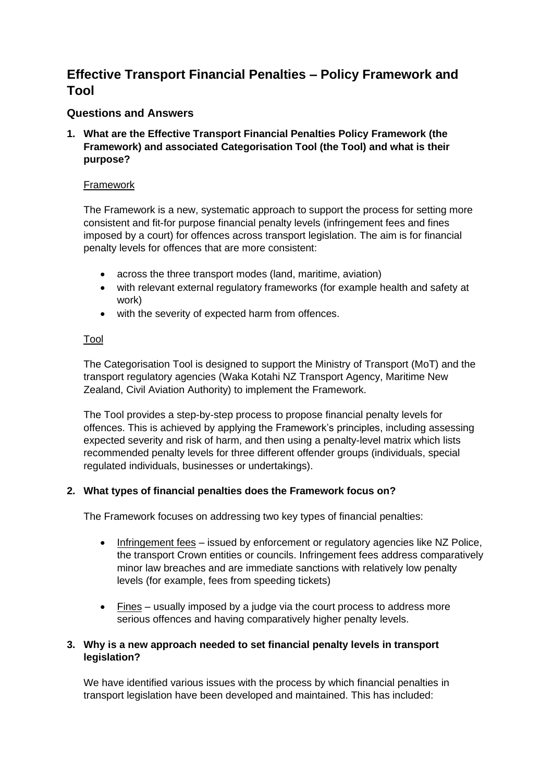# **Effective Transport Financial Penalties – Policy Framework and Tool**

# **Questions and Answers**

**1. What are the Effective Transport Financial Penalties Policy Framework (the Framework) and associated Categorisation Tool (the Tool) and what is their purpose?**

### Framework

The Framework is a new, systematic approach to support the process for setting more consistent and fit-for purpose financial penalty levels (infringement fees and fines imposed by a court) for offences across transport legislation. The aim is for financial penalty levels for offences that are more consistent:

- across the three transport modes (land, maritime, aviation)
- with relevant external regulatory frameworks (for example health and safety at work)
- with the severity of expected harm from offences.

# Tool

The Categorisation Tool is designed to support the Ministry of Transport (MoT) and the transport regulatory agencies (Waka Kotahi NZ Transport Agency, Maritime New Zealand, Civil Aviation Authority) to implement the Framework.

The Tool provides a step-by-step process to propose financial penalty levels for offences. This is achieved by applying the Framework's principles, including assessing expected severity and risk of harm, and then using a penalty-level matrix which lists recommended penalty levels for three different offender groups (individuals, special regulated individuals, businesses or undertakings).

# **2. What types of financial penalties does the Framework focus on?**

The Framework focuses on addressing two key types of financial penalties:

- Infringement fees issued by enforcement or regulatory agencies like NZ Police, the transport Crown entities or councils. Infringement fees address comparatively minor law breaches and are immediate sanctions with relatively low penalty levels (for example, fees from speeding tickets)
- Fines usually imposed by a judge via the court process to address more serious offences and having comparatively higher penalty levels.

# **3. Why is a new approach needed to set financial penalty levels in transport legislation?**

We have identified various issues with the process by which financial penalties in transport legislation have been developed and maintained. This has included: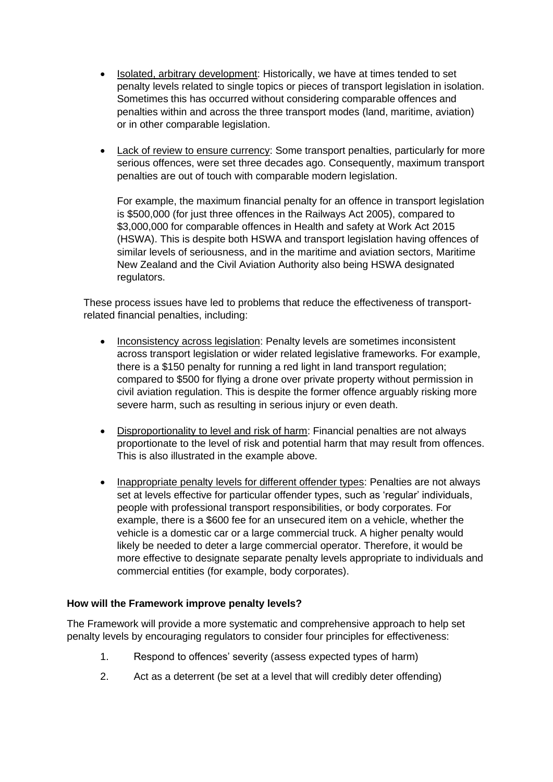- Isolated, arbitrary development: Historically, we have at times tended to set penalty levels related to single topics or pieces of transport legislation in isolation. Sometimes this has occurred without considering comparable offences and penalties within and across the three transport modes (land, maritime, aviation) or in other comparable legislation.
- Lack of review to ensure currency: Some transport penalties, particularly for more serious offences, were set three decades ago. Consequently, maximum transport penalties are out of touch with comparable modern legislation.

For example, the maximum financial penalty for an offence in transport legislation is \$500,000 (for just three offences in the Railways Act 2005), compared to \$3,000,000 for comparable offences in Health and safety at Work Act 2015 (HSWA). This is despite both HSWA and transport legislation having offences of similar levels of seriousness, and in the maritime and aviation sectors, Maritime New Zealand and the Civil Aviation Authority also being HSWA designated regulators.

These process issues have led to problems that reduce the effectiveness of transportrelated financial penalties, including:

- Inconsistency across legislation: Penalty levels are sometimes inconsistent across transport legislation or wider related legislative frameworks. For example, there is a \$150 penalty for running a red light in land transport regulation; compared to \$500 for flying a drone over private property without permission in civil aviation regulation. This is despite the former offence arguably risking more severe harm, such as resulting in serious injury or even death.
- Disproportionality to level and risk of harm: Financial penalties are not always proportionate to the level of risk and potential harm that may result from offences. This is also illustrated in the example above.
- Inappropriate penalty levels for different offender types: Penalties are not always set at levels effective for particular offender types, such as 'regular' individuals, people with professional transport responsibilities, or body corporates. For example, there is a \$600 fee for an unsecured item on a vehicle, whether the vehicle is a domestic car or a large commercial truck. A higher penalty would likely be needed to deter a large commercial operator. Therefore, it would be more effective to designate separate penalty levels appropriate to individuals and commercial entities (for example, body corporates).

# **How will the Framework improve penalty levels?**

The Framework will provide a more systematic and comprehensive approach to help set penalty levels by encouraging regulators to consider four principles for effectiveness:

- 1. Respond to offences' severity (assess expected types of harm)
- 2. Act as a deterrent (be set at a level that will credibly deter offending)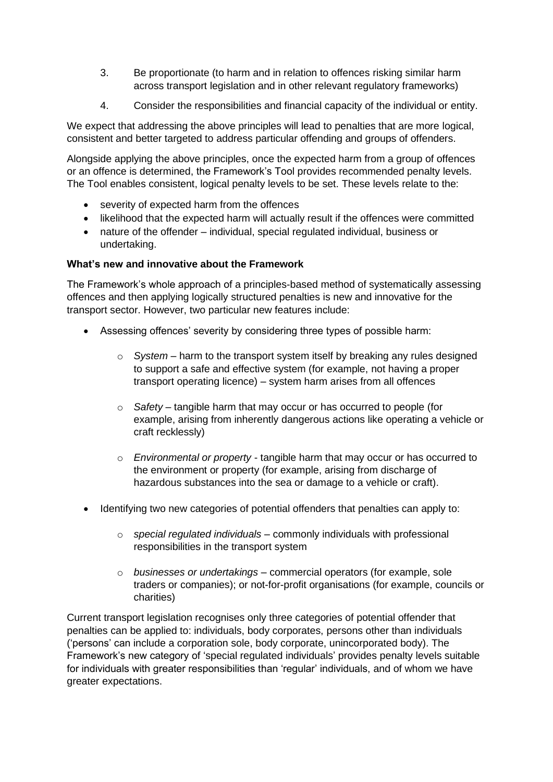- 3. Be proportionate (to harm and in relation to offences risking similar harm across transport legislation and in other relevant regulatory frameworks)
- 4. Consider the responsibilities and financial capacity of the individual or entity.

We expect that addressing the above principles will lead to penalties that are more logical, consistent and better targeted to address particular offending and groups of offenders.

Alongside applying the above principles, once the expected harm from a group of offences or an offence is determined, the Framework's Tool provides recommended penalty levels. The Tool enables consistent, logical penalty levels to be set. These levels relate to the:

- severity of expected harm from the offences
- likelihood that the expected harm will actually result if the offences were committed
- nature of the offender individual, special regulated individual, business or undertaking.

# **What's new and innovative about the Framework**

The Framework's whole approach of a principles-based method of systematically assessing offences and then applying logically structured penalties is new and innovative for the transport sector. However, two particular new features include:

- Assessing offences' severity by considering three types of possible harm:
	- o *System* harm to the transport system itself by breaking any rules designed to support a safe and effective system (for example, not having a proper transport operating licence) – system harm arises from all offences
	- o *Safety* tangible harm that may occur or has occurred to people (for example, arising from inherently dangerous actions like operating a vehicle or craft recklessly)
	- o *Environmental or property* tangible harm that may occur or has occurred to the environment or property (for example, arising from discharge of hazardous substances into the sea or damage to a vehicle or craft).
- Identifying two new categories of potential offenders that penalties can apply to:
	- o *special regulated individuals* commonly individuals with professional responsibilities in the transport system
	- o *businesses or undertakings* commercial operators (for example, sole traders or companies); or not-for-profit organisations (for example, councils or charities)

Current transport legislation recognises only three categories of potential offender that penalties can be applied to: individuals, body corporates, persons other than individuals ('persons' can include a corporation sole, body corporate, unincorporated body). The Framework's new category of 'special regulated individuals' provides penalty levels suitable for individuals with greater responsibilities than 'regular' individuals, and of whom we have greater expectations.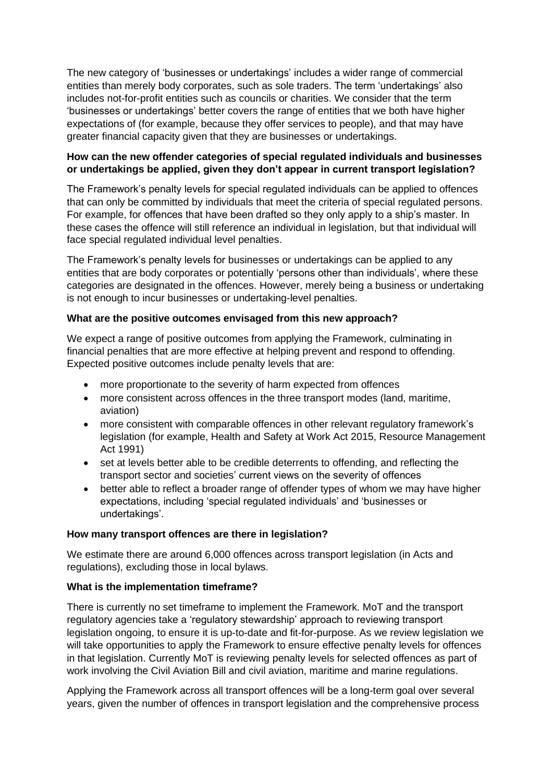The new category of 'businesses or undertakings' includes a wider range of commercial entities than merely body corporates, such as sole traders. The term 'undertakings' also includes not-for-profit entities such as councils or charities. We consider that the term 'businesses or undertakings' better covers the range of entities that we both have higher expectations of (for example, because they offer services to people), and that may have greater financial capacity given that they are businesses or undertakings.

# **How can the new offender categories of special regulated individuals and businesses or undertakings be applied, given they don't appear in current transport legislation?**

The Framework's penalty levels for special regulated individuals can be applied to offences that can only be committed by individuals that meet the criteria of special regulated persons. For example, for offences that have been drafted so they only apply to a ship's master. In these cases the offence will still reference an individual in legislation, but that individual will face special regulated individual level penalties.

The Framework's penalty levels for businesses or undertakings can be applied to any entities that are body corporates or potentially 'persons other than individuals', where these categories are designated in the offences. However, merely being a business or undertaking is not enough to incur businesses or undertaking-level penalties.

# **What are the positive outcomes envisaged from this new approach?**

We expect a range of positive outcomes from applying the Framework, culminating in financial penalties that are more effective at helping prevent and respond to offending. Expected positive outcomes include penalty levels that are:

- more proportionate to the severity of harm expected from offences
- more consistent across offences in the three transport modes (land, maritime, aviation)
- more consistent with comparable offences in other relevant regulatory framework's legislation (for example, Health and Safety at Work Act 2015, Resource Management Act 1991)
- set at levels better able to be credible deterrents to offending, and reflecting the transport sector and societies' current views on the severity of offences
- better able to reflect a broader range of offender types of whom we may have higher expectations, including 'special regulated individuals' and 'businesses or undertakings'.

#### **How many transport offences are there in legislation?**

We estimate there are around 6,000 offences across transport legislation (in Acts and regulations), excluding those in local bylaws.

# **What is the implementation timeframe?**

There is currently no set timeframe to implement the Framework. MoT and the transport regulatory agencies take a 'regulatory stewardship' approach to reviewing transport legislation ongoing, to ensure it is up-to-date and fit-for-purpose. As we review legislation we will take opportunities to apply the Framework to ensure effective penalty levels for offences in that legislation. Currently MoT is reviewing penalty levels for selected offences as part of work involving the Civil Aviation Bill and civil aviation, maritime and marine regulations.

Applying the Framework across all transport offences will be a long-term goal over several years, given the number of offences in transport legislation and the comprehensive process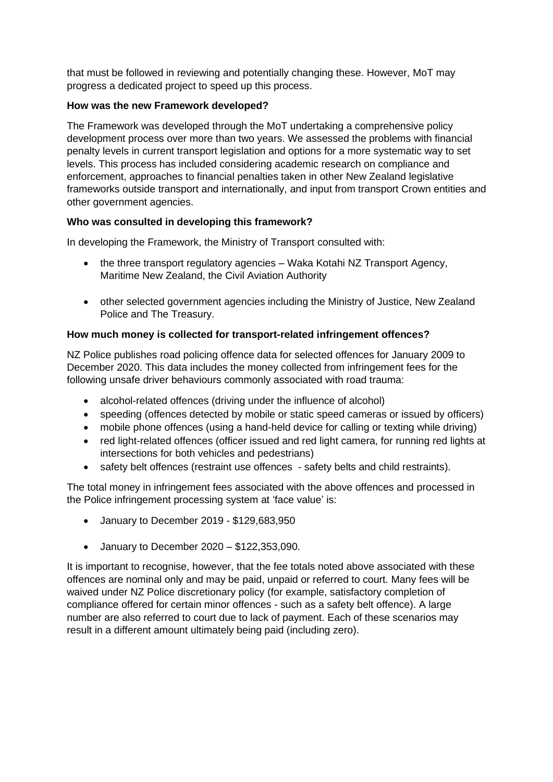that must be followed in reviewing and potentially changing these. However, MoT may progress a dedicated project to speed up this process.

# **How was the new Framework developed?**

The Framework was developed through the MoT undertaking a comprehensive policy development process over more than two years. We assessed the problems with financial penalty levels in current transport legislation and options for a more systematic way to set levels. This process has included considering academic research on compliance and enforcement, approaches to financial penalties taken in other New Zealand legislative frameworks outside transport and internationally, and input from transport Crown entities and other government agencies.

# **Who was consulted in developing this framework?**

In developing the Framework, the Ministry of Transport consulted with:

- the three transport regulatory agencies Waka Kotahi NZ Transport Agency, Maritime New Zealand, the Civil Aviation Authority
- other selected government agencies including the Ministry of Justice, New Zealand Police and The Treasury.

# **How much money is collected for transport-related infringement offences?**

NZ Police publishes road policing offence data for selected offences for January 2009 to December 2020. This data includes the money collected from infringement fees for the following unsafe driver behaviours commonly associated with road trauma:

- alcohol-related offences (driving under the influence of alcohol)
- speeding (offences detected by mobile or static speed cameras or issued by officers)
- mobile phone offences (using a hand-held device for calling or texting while driving)
- red light-related offences (officer issued and red light camera, for running red lights at intersections for both vehicles and pedestrians)
- safety belt offences (restraint use offences safety belts and child restraints).

The total money in infringement fees associated with the above offences and processed in the Police infringement processing system at 'face value' is:

- January to December 2019 \$129,683,950
- January to December 2020 \$122,353,090.

It is important to recognise, however, that the fee totals noted above associated with these offences are nominal only and may be paid, unpaid or referred to court. Many fees will be waived under NZ Police discretionary policy (for example, satisfactory completion of compliance offered for certain minor offences - such as a safety belt offence). A large number are also referred to court due to lack of payment. Each of these scenarios may result in a different amount ultimately being paid (including zero).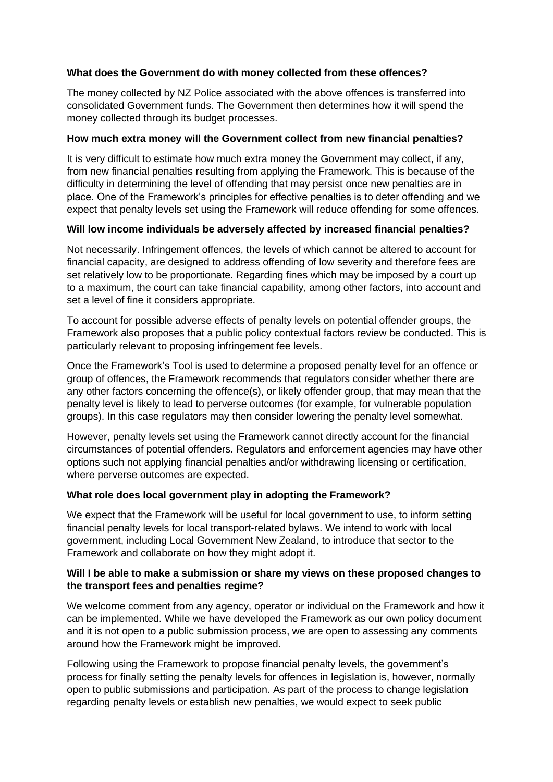# **What does the Government do with money collected from these offences?**

The money collected by NZ Police associated with the above offences is transferred into consolidated Government funds. The Government then determines how it will spend the money collected through its budget processes.

# **How much extra money will the Government collect from new financial penalties?**

It is very difficult to estimate how much extra money the Government may collect, if any, from new financial penalties resulting from applying the Framework. This is because of the difficulty in determining the level of offending that may persist once new penalties are in place. One of the Framework's principles for effective penalties is to deter offending and we expect that penalty levels set using the Framework will reduce offending for some offences.

# **Will low income individuals be adversely affected by increased financial penalties?**

Not necessarily. Infringement offences, the levels of which cannot be altered to account for financial capacity, are designed to address offending of low severity and therefore fees are set relatively low to be proportionate. Regarding fines which may be imposed by a court up to a maximum, the court can take financial capability, among other factors, into account and set a level of fine it considers appropriate.

To account for possible adverse effects of penalty levels on potential offender groups, the Framework also proposes that a public policy contextual factors review be conducted. This is particularly relevant to proposing infringement fee levels.

Once the Framework's Tool is used to determine a proposed penalty level for an offence or group of offences, the Framework recommends that regulators consider whether there are any other factors concerning the offence(s), or likely offender group, that may mean that the penalty level is likely to lead to perverse outcomes (for example, for vulnerable population groups). In this case regulators may then consider lowering the penalty level somewhat.

However, penalty levels set using the Framework cannot directly account for the financial circumstances of potential offenders. Regulators and enforcement agencies may have other options such not applying financial penalties and/or withdrawing licensing or certification, where perverse outcomes are expected.

# **What role does local government play in adopting the Framework?**

We expect that the Framework will be useful for local government to use, to inform setting financial penalty levels for local transport-related bylaws. We intend to work with local government, including Local Government New Zealand, to introduce that sector to the Framework and collaborate on how they might adopt it.

# **Will I be able to make a submission or share my views on these proposed changes to the transport fees and penalties regime?**

We welcome comment from any agency, operator or individual on the Framework and how it can be implemented. While we have developed the Framework as our own policy document and it is not open to a public submission process, we are open to assessing any comments around how the Framework might be improved.

Following using the Framework to propose financial penalty levels, the government's process for finally setting the penalty levels for offences in legislation is, however, normally open to public submissions and participation. As part of the process to change legislation regarding penalty levels or establish new penalties, we would expect to seek public